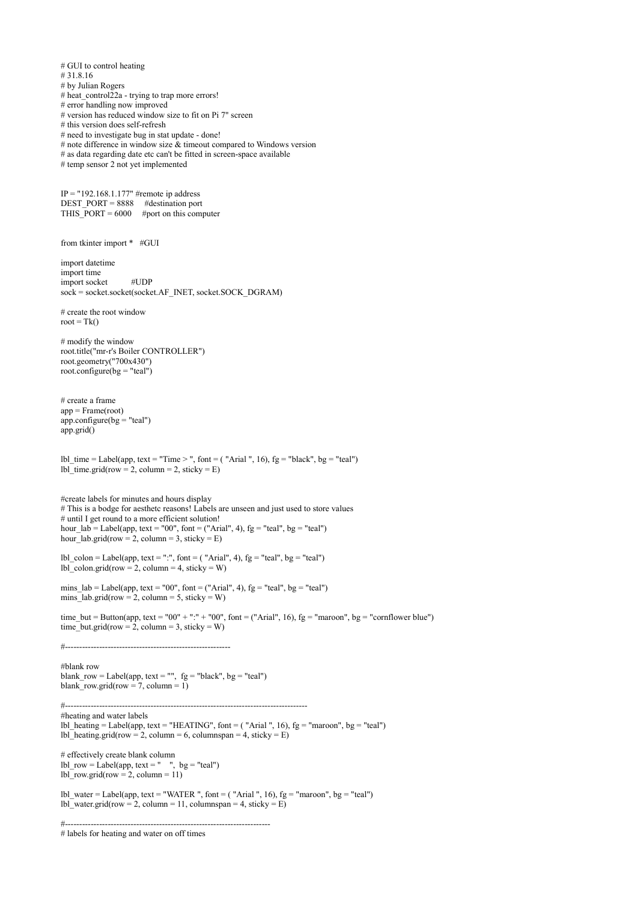# GUI to control heating # 31.8.16 # by Julian Rogers # heat control22a - trying to trap more errors! # error handling now improved # version has reduced window size to fit on Pi 7" screen # this version does self-refresh # need to investigate bug in stat update - done! # note difference in window size  $\&$  timeout compared to Windows version # as data regarding date etc can't be fitted in screen-space available # temp sensor 2 not yet implemented IP = "192.168.1.177" #remote ip address DEST\_PORT = 8888 #destination port THIS  $\overline{P}$ ORT = 6000 #port on this computer from tkinter import \* #GUI import datetime import time import socket #UDP sock = socket.socket(socket.AF\_INET, socket.SOCK\_DGRAM) # create the root window root =  $Tk()$ # modify the window root.title("mr-r's Boiler CONTROLLER") root.geometry("700x430") root.configure( $bg = "teal")$ # create a frame  $app = Frame(root)$ app.configure( $bg = "teal")$ app.grid() lbl time = Label(app, text = "Time > ", font = ( "Arial ", 16),  $fg$  = "black",  $bg$  = "teal") lbl\_time.grid(row = 2, column = 2, sticky =  $E$ ) #create labels for minutes and hours display # This is a bodge for aesthetc reasons! Labels are unseen and just used to store values # until I get round to a more efficient solution! hour  $lab = Label(ap, text = "00", font = ("Arial", 4), fg = "teal", bg = "teal")$ hour\_lab.grid(row = 2, column = 3, sticky =  $E$ ) lbl\_colon = Label(app, text = ":", font = ( "Arial", 4),  $fg = "teal", bg = "teal")$  $\overline{{\rm lb}}$  colon.grid(row = 2, column = 4, sticky = W) mins\_lab = Label(app, text = "00", font = ("Arial", 4), fg = "teal", bg = "teal") mins lab.grid(row = 2, column = 5, sticky = W) time but = Button(app, text = "00" + ":" + "00", font = ("Arial", 16), fg = "maroon", bg = "cornflower blue") time\_but.grid(row = 2, column = 3, sticky = W) #---------------------------------------------------------- #blank row blank row = Label(app, text = "",  $fg = "black", bg = "teal"$ ) blank\_row.grid(row = 7, column = 1) #------------------------------------------------------------------------------------- #heating and water labels lbl\_heating = Label(app, text = "HEATING", font = ( "Arial ", 16), fg = "maroon", bg = "teal") lbl\_heating.grid(row = 2, column = 6, columnspan = 4, sticky = E) # effectively create blank column lbl row = Label(app, text = " ", bg = "teal")  $\overline{lb}$  row.grid(row = 2, column = 11) lbl\_water = Label(app, text = "WATER", font = ("Arial", 16),  $fg = "macro"$ ,  $bg = "teal"$ ) lbl\_water.grid(row = 2, column = 11, columnspan = 4, sticky =  $E$ ) #------------------------------------------------------------------------

<sup>#</sup> labels for heating and water on off times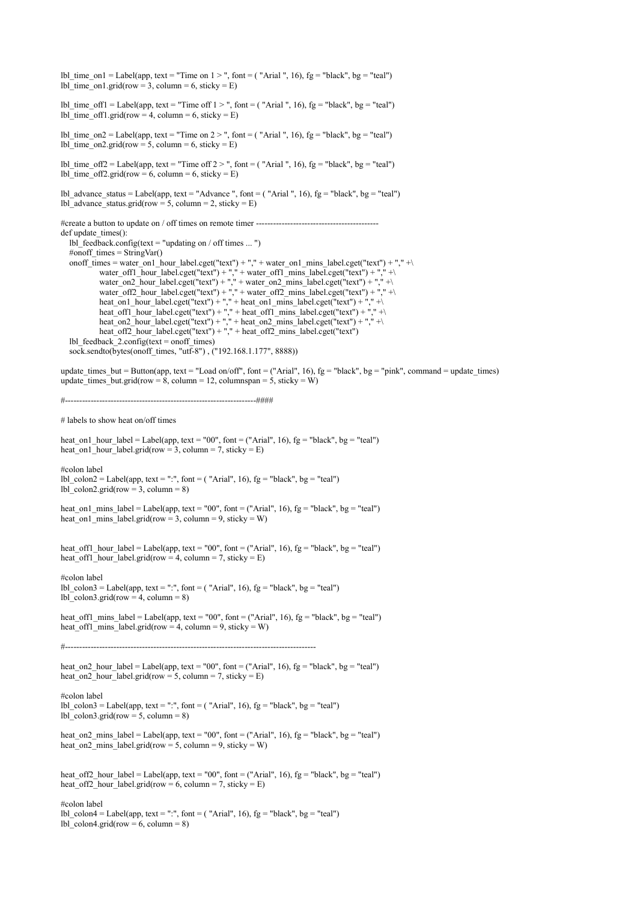lbl\_time\_on1 = Label(app, text = "Time on 1 > ", font = ( "Arial ", 16), fg = "black", bg = "teal") lbl time on1.grid(row = 3, column = 6, sticky = E) lbl\_time\_off1 = Label(app, text = "Time off  $1 >$  ", font = ( "Arial ", 16), fg = "black", bg = "teal")  $lb$  time\_off1.grid(row = 4, column = 6, sticky = E) lbl\_time\_on2 = Label(app, text = "Time on  $2 >$  ", font = ( "Arial ", 16), fg = "black", bg = "teal") lbl\_time\_on2.grid(row = 5, column = 6, sticky = E) lbl\_time\_off2 = Label(app, text = "Time off  $2 >$  ", font = ( "Arial ", 16), fg = "black", bg = "teal") lbl\_time\_off2.grid(row = 6, column = 6, sticky = E) lbl\_advance\_status = Label(app, text = "Advance ", font = ( "Arial ", 16), fg = "black", bg = "teal")  $lb \overline{\phantom{a}}$  advance status.grid(row = 5, column = 2, sticky = E) #create a button to update on / off times on remote timer ---------- $def$  update\_times $()$ : lbl feedback.config(text = "updating on / off times ... ") #onoff times = StringVar() onoff\_times = water\_on1\_hour\_label.cget("text") + "," + water\_on1\_mins\_label.cget("text") + "," + $\setminus$ water off1\_hour\_label.cget("text") + "," + water\_off1\_mins\_label.cget("text") + "," + $\setminus$ water\_on2\_hour\_label.cget("text") + "," + water\_on2\_mins\_label.cget("text") + "," + $\setminus$ water off2 hour label.cget("text") + "," + water off2 mins label.cget("text") + "," + $\setminus$ heat\_on1\_hour\_label.cget("text") + "," + heat\_on1\_mins\_label.cget("text") + "," + $\setminus$ heat off1 hour label.cget("text") + "," + heat off1 mins label.cget("text") + "," + $\setminus$ heat\_on2\_hour\_label.cget("text") + "," + heat\_on2\_mins\_label.cget("text") + "," + $\setminus$  heat\_off2\_hour\_label.cget("text") + "," + heat\_off2\_mins\_label.cget("text") lbl feedback  $2.\text{config}(\text{text} = \text{onoff times})$ sock.sendto(bytes(onoff\_times, "utf-8"),  $("192.168.1.177", 8888)$ ) update times but = Button(app, text = "Load on/off", font = ("Arial", 16), fg = "black", bg = "pink", command = update times) update\_times\_but.grid(row =  $8$ , column = 12, columnspan =  $5$ , sticky = W) #-------------------------------------------------------------------#### # labels to show heat on/off times heat on1 hour label = Label(app, text = "00", font = ("Arial", 16), fg = "black", bg = "teal") heat on<sup>1</sup> hour<sup>1</sup> label.grid(row = 3, column = 7, sticky = E) #colon label lbl\_colon2 = Label(app, text = ":", font = ( "Arial", 16),  $fg =$  "black",  $bg =$  "teal") lbl\_colon2.grid(row = 3, column = 8) heat\_on1\_mins\_label = Label(app, text = "00", font = ("Arial", 16),  $fg = "black", bg = "teal"$ ) heat on  $\overline{\text{mins}}$  label.grid(row = 3, column = 9, sticky = W) heat off1 hour label = Label(app, text = "00", font = ("Arial", 16),  $fg$  = "black",  $bg$  = "teal") heat\_off1\_hour\_label.grid(row = 4, column = 7, sticky = E) #colon label  $\text{lbl\_colon3} = \text{Label}(\text{app}, \text{text} = "::", \text{font} = ("Arial", 16), \text{fg} = "black", \text{bg} = "teal")$  $\overline{1}$ lbl\_colon3.grid(row = 4, column = 8) heat off1 mins  $label = Label(app, text = "00", font = ("Arial", 16), fg = "black", bg = "teal")$ heat\_off1\_mins\_label.grid(row = 4, column = 9, sticky = W) #--------------------------------------------------------------------------------------- heat on2 hour label = Label(app, text = "00", font = ("Arial", 16),  $fg$  = "black",  $bg$  = "teal") heat on2 hour label.grid(row = 5, column = 7, sticky = E) #colon label lbl colon3 = Label(app, text = ":", font = ( "Arial", 16), fg = "black", bg = "teal")  $lb\bar{c}$  colon3.grid(row = 5, column = 8) heat\_on2\_mins\_label = Label(app, text = "00", font = ("Arial", 16), fg = "black", bg = "teal") heat\_on2\_mins\_label.grid(row = 5, column = 9, sticky = W) heat off2 hour label = Label(app, text = "00", font = ("Arial", 16),  $fg$  = "black",  $bg$  = "teal") heat\_off2\_hour\_label.grid(row = 6, column = 7, sticky = E) #colon label lbl colon4 = Label(app, text = ":", font = ( "Arial", 16),  $fg$  = "black", bg = "teal")  $\overline{{\rm lb}}$  colon4.grid(row = 6, column = 8)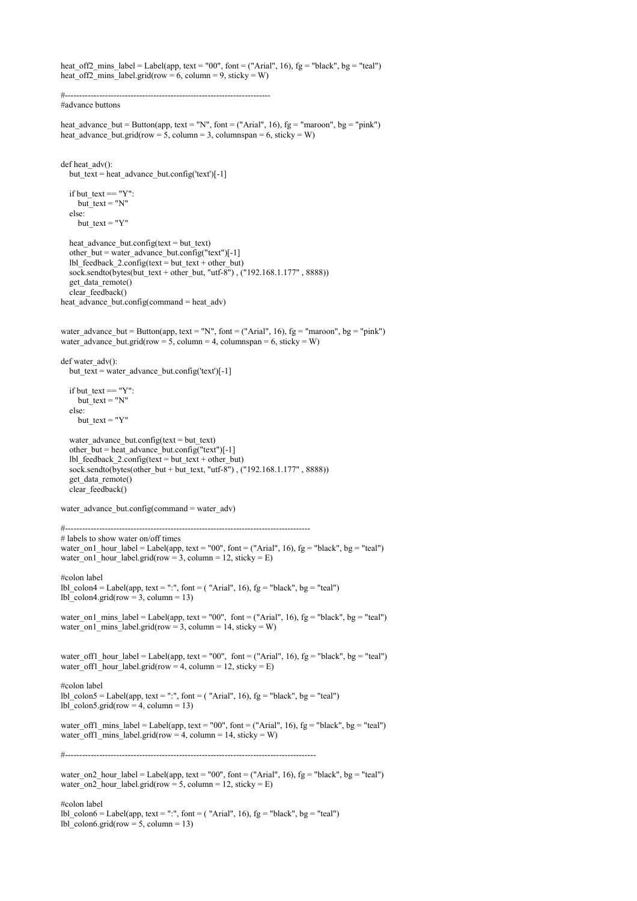heat off2 mins label = Label(app, text = "00", font = ("Arial", 16),  $fg$  = "black",  $bg$  = "teal") heat\_off2\_mins\_label.grid(row =  $6$ , column =  $9$ , sticky = W) #------------------------------------------------------------------------ #advance buttons heat advance but = Button(app, text = "N", font = ("Arial", 16),  $fg = "maroon", bg = "pink"$ ) heat\_advance\_but.grid(row = 5, column = 3, columnspan = 6, sticky = W) def heat  $\text{adv}()$ : but text = heat advance but.config('text')[-1] if but  $text = "Y":$ but  $text = "N"$  else: but\_text = " $Y$ " heat advance but.config(text = but text) other but = water advance but.config("text")[-1]  $lb$  [feedback\_2.config(text = but\_text + other\_but) sock.sendto(bytes(but\_text + other\_but, "utf-8") , ("192.168.1.177" , 8888)) get data remote() clear\_feedback() heat advance but.config(command = heat  $\alpha$ dv) water\_advance\_but = Button(app, text = "N", font = ("Arial", 16), fg = "maroon", bg = "pink") water\_advance\_but.grid(row = 5, column = 4, columnspan = 6, sticky = W) def water\_adv(): but text = water advance but.config('text')[-1] if but  $text = "Y":$  $but\_text = "N"$  else:  $but\_text = "Y"$ water advance but.config(text = but text) other\_but = heat\_advance\_but.config("text")[-1] lbl\_feedback\_2.config(text = but\_text + other\_but) sock.sendto(bytes(other\_but + but\_text, "utf- $8\overline{''}$ ), ("192.168.1.177", 8888)) get\_data\_remote() clear\_feedback() water\_advance\_but.config(command = water\_adv) #-------------------------------------------------------------------------------------- # labels to show water on/off times water\_on1\_hour\_label = Label(app, text = "00", font = ("Arial", 16),  $fg =$  "black", bg = "teal") water\_on1\_hour\_label.grid(row = 3, column = 12, sticky = E) #colon label lbl\_colon4 = Label(app, text = ":", font = ( "Arial", 16),  $fg = "black", bg = "teal"$ ) lbl\_colon4.grid(row = 3, column = 13) water\_on1\_mins\_label = Label(app, text = "00", font = ("Arial", 16), fg = "black", bg = "teal") water\_on1\_mins\_label.grid(row = 3, column = 14, sticky = W) water\_off1\_hour\_label = Label(app, text = "00", font = ("Arial", 16), fg = "black", bg = "teal") water\_off1\_hour\_label.grid(row = 4, column = 12, sticky = E) #colon label lbl\_colon5 = Label(app, text = ":", font = ( "Arial", 16),  $fg = "black", bg = "teal"$ )  $lb\overline{\phantom{a}}$  colon5.grid(row = 4, column = 13) water\_off1\_mins\_label = Label(app, text = "00", font = ("Arial", 16), fg = "black", bg = "teal") water\_off1\_mins\_label.grid(row = 4, column = 14, sticky = W) #--------------------------------------------------------------------------------------- water on2 hour label = Label(app, text = "00", font = ("Arial", 16),  $fg$  = "black", bg = "teal") water\_on2\_hour\_label.grid(row = 5, column = 12, sticky = E)

#colon label lbl colon6 = Label(app, text = ":", font = ( "Arial", 16),  $fg$  = "black", bg = "teal") lbl\_colon6.grid(row = 5, column = 13)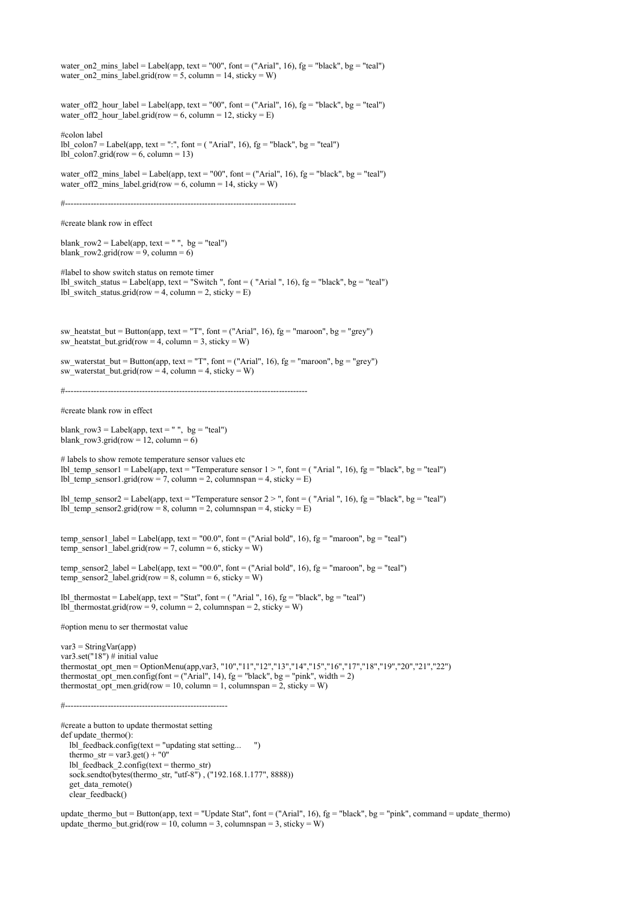water on2 mins label = Label(app, text = "00", font = ("Arial", 16),  $fg$  = "black", bg = "teal") water\_on2\_mins\_label.grid(row = 5, column = 14, sticky = W) water\_off2\_hour\_label = Label(app, text = "00", font = ("Arial", 16), fg = "black", bg = "teal") water\_off2\_hour\_label.grid(row = 6, column = 12, sticky = E) #colon label lbl colon7 = Label(app, text = ":", font = ( "Arial", 16),  $fg$  = "black", bg = "teal") lbl colon7.grid(row = 6, column = 13) water off2 mins label = Label(app, text = "00", font = ("Arial", 16),  $fg$  = "black", bg = "teal") water\_off2\_mins\_label.grid(row = 6, column = 14, sticky = W) #--------------------------------------------------------------------------------- #create blank row in effect blank  $row2 = Label(ap, text = " ", bg = "teal")$ blank\_row2.grid(row = 9, column = 6) #label to show switch status on remote timer lbl\_switch\_status = Label(app, text = "Switch ", font = ( "Arial ", 16),  $fg =$  "black",  $bg =$  "teal") lbl\_switch\_status.grid(row = 4, column = 2, sticky = E) sw\_heatstat\_but = Button(app, text = "T", font = ("Arial", 16),  $fg = "macro"$ ,  $bg = "grey"$ ) sw heatstat but.grid(row = 4, column = 3, sticky = W) sw\_waterstat\_but = Button(app, text = "T", font = ("Arial", 16), fg = "maroon", bg = "grey") sw\_waterstat\_but.grid(row = 4, column = 4, sticky = W) #------------------------------------------------------------------------------------- #create blank row in effect blank  $row3 =$  Label(app, text = " ", bg = "teal") blank row3.grid(row = 12, column = 6) # labels to show remote temperature sensor values etc lbl\_temp\_sensor1 = Label(app, text = "Temperature sensor  $1 >$ ", font = ("Arial", 16), fg = "black", bg = "teal") lbl\_temp\_sensor1.grid(row = 7, column = 2, columnspan = 4, sticky =  $E$ ) lbl\_temp\_sensor2 = Label(app, text = "Temperature sensor 2 > ", font = ( "Arial ", 16), fg = "black", bg = "teal") lbl\_temp\_sensor2.grid(row = 8, column = 2, columnspan = 4, sticky =  $E$ ) temp\_sensor1\_label = Label(app, text = "00.0", font = ("Arial bold", 16), fg = "maroon", bg = "teal") temp\_sensor1\_label.grid(row = 7, column = 6, sticky = W) temp\_sensor2\_label = Label(app, text = "00.0", font = ("Arial bold", 16), fg = "maroon", bg = "teal")  $temp\_sensor2\_label.grid(row = 8, column = 6, sticky = W)$ lbl thermostat = Label(app, text = "Stat", font = ( "Arial ", 16),  $fg$  = "black", bg = "teal")  $lb$  thermostat.grid(row = 9, column = 2, columnspan = 2, sticky = W) #option menu to ser thermostat value  $var3 = StringVar(ap)$ var3.set("18") # initial value thermostat\_opt\_men = OptionMenu(app,var3, "10","11","12","13","14","15","16","17","18","19","20","21","22") thermostat opt men.config(font = ("Arial", 14),  $fg =$  "black",  $bg =$  "pink", width = 2) thermostat\_opt\_men.grid(row = 10, column = 1, columnspan = 2, sticky = W) #--------------------------------------------------------- #create a button to update thermostat setting def update\_thermo(): lbl\_feedback.config(text = "updating stat setting... ") thermo\_str = var3.get() + "0" lbl feedback  $2.\text{config}(\text{text} = \text{thermo str})$ sock.sendto(bytes(thermo\_str, "utf-8") , ("192.168.1.177", 8888)) get data  $\text{remote}()$ clear\_feedback()

update thermo but = Button(app, text = "Update Stat", font = ("Arial", 16), fg = "black", bg = "pink", command = update thermo) update thermodut.grid(row = 10, column = 3, columnspan = 3, sticky = W)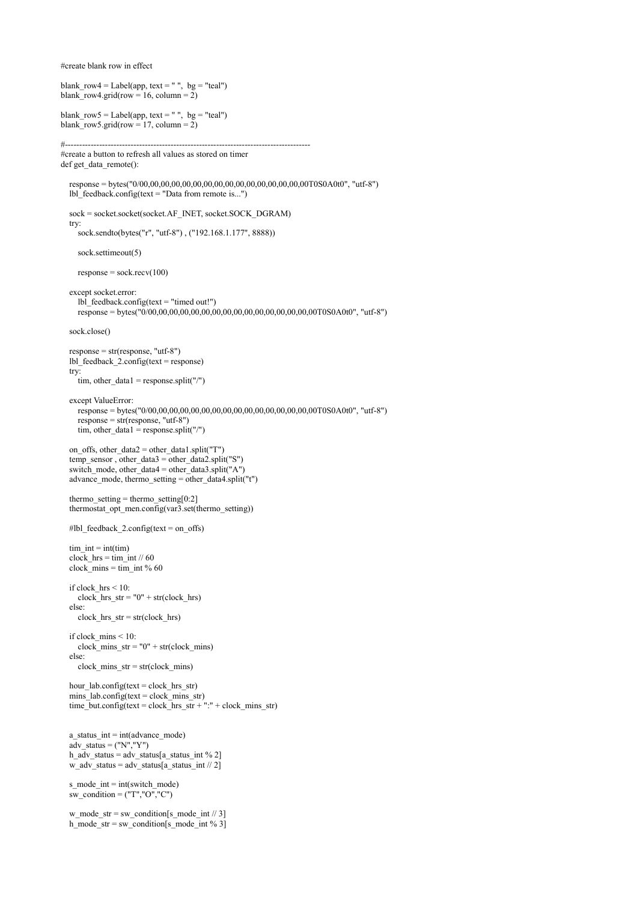#create blank row in effect

```
blank_row4 = Label(app, text = "", bg = "teal")
blank row4.grid(row = 16, column = 2)
blank_row5 = Label(app, text = "", bg = "teal")
blank_row5.grid(row = 17, column = 2)
#--------------------------------------------------------------------------------------
#create a button to refresh all values as stored on timer 
def get_data_remote():
   response = bytes("0/00,00,00,00,00,00,00,00,00,00,00,00,00,00,00,00T0S0A0t0", "utf-8")
  lbl feedback.config(text = "Data from remote is...") sock = socket.socket(socket.AF_INET, socket.SOCK_DGRAM)
   try:
      sock.sendto(bytes("r", "utf-8") , ("192.168.1.177", 8888))
     sock.settimeout(5)
     response = sock.recv(100) except socket.error:
      lbl_feedback.config(text = "timed out!")
      response = bytes("0/00,00,00,00,00,00,00,00,00,00,00,00,00,00,00,00T0S0A0t0", "utf-8")
   sock.close()
  response = str(resp</i>ones, "utf-8") lbl_feedback_2.config(text = response)
   try:
     tim, other_data1 = response.split("/")
   except ValueError:
      response = bytes("0/00,00,00,00,00,00,00,00,00,00,00,00,00,00,00,00T0S0A0t0", "utf-8")
     response = str(resp</i>ones, "utf-8")tim, other_data1 = response.split("/")
   on_offs, other_data2 = other_data1.split("T")
  temp_sensor, other_data3 = other_data2.split("S")
   switch_mode, other_data4 = other_data3.split("A")
   advance_mode, thermo_setting = other_data4.split("t")
  thermo_setting = thermo_setting [0:2] thermostat_opt_men.config(var3.set(thermo_setting))
  #lbl feedback 2.\text{config}(\text{text} = \text{on } \text{offs})tim int = int(tim)\overline{\text{clock}} hrs = tim_int // 60
  clock<sup>-</sup>mins = tim int % 60
   if clock_hrs < 10:
     clock hrs str = "0" + str(clock hrs) else:
     clock hrs str = str(clock hrs)
   if clock_mins < 10:
     clock\_mins\_str = "0" + str(clock\_mins) else:
     clock mins str = str(clock mins)
   hour_lab.config(text = clock_hrs_str) 
 mins_lab.config(text = clock_mins_str)
time_but.config(text = clock_hrs_str + ":" + clock_mins_str)
  a__status_int = int(advance_mode)
  a\bar{d}v status = ("N","Y")
  h_a\overline{dv}_status = adv_status[a_status_int % 2] w_adv_status = adv_status[a_status_int // 2]
  s_mode_int = int(switch_mode)
  sw_condition = ("T", "O", "C")w_mode_str = sw_condition[s_mode_int // 3]
  h_mode_str = sw_condition[s_mode_int % 3]
```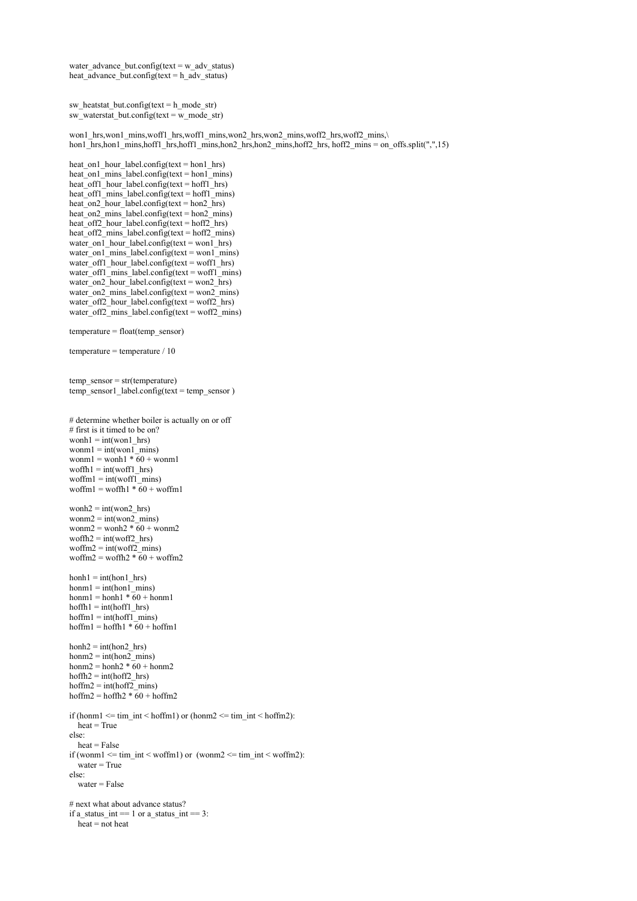water advance but.config(text = w adv status) heat  $\bar{a}$ dvance  $\bar{b}$ ut.config(text = h  $\bar{a}$ dv status)

```
sw heatstat but.config(text = h_mode_str)
sw<sup>-</sup>waterstat<sub>-</sub>but.config(text = w<sub>-</sub>mode_str)
```
 won1\_hrs,won1\_mins,woff1\_hrs,woff1\_mins,won2\_hrs,won2\_mins,woff2\_hrs,woff2\_mins,\ hon1\_hrs,hon1\_mins,hoff1\_mins,hoff1\_mins,hon2\_hrs,hon2\_mins,hoff2\_hrs, hoff2\_mins = on\_offs.split(",",15)

```
heat on1 hour label.config(text = hon1 hrs)
heat on<sup>1</sup> mins<sup>1</sup> label.config(text = hon<sup>1</sup> mins)
heat_off1_hour_label.config(text = hoff1_hrs)
heat off1_mins_label.config(text = hoff1_mins)
heat_on2_hour_label.config(text = hon2_hrs)
heat on2 mins label.config(text = hon2 mins)
heat_off2_hour_label.config(text = hoff2_hrs)
 heat_off2_mins_label.config(text = hoff2_mins)
water_on<sup>1</sup>_hour_label.config(text = won<sup>1</sup>_hrs)
water_on1_mins_label.config(text = won1_mins)
water_{off1} hour_label.config(text = woff1_hrs)
 water_off1_mins_label.config(text = woff1_mins)
water_on2_hour_label.config(text = won2_hrs)
water_on2_mins_label.config(text = won2_mins)
water_off2_hour_label.config(text = woff2_hrs)
water_off2_mins_label.config(text = woff2_mins)
```
temperature = float(temp\_sensor)

```
temperature = temperature / 10
```

```
 temp_sensor = str(temperature)
 temp_sensor1_label.config(text = temp_sensor )
```

```
 # determine whether boiler is actually on or off
 # first is it timed to be on?
wonh1 = \text{int}(won1 hrs)
wonm1 = \text{int}(won\overline{1} mins)
wonm1 = wonh1 * 60 + wonm1woffh1 = \text{int}(\text{woff1} \text{ hrs})woffml = int(woff1 - mins)woffm1 = woffh1 * 60 + woffm1
wonh2 = int(won2 hrs)wonm2 = int(won2 - mins)wonm2 = wonh2 * 60 + wonm2
woffh2 = \text{int}(\text{woff2} \text{ hrs})woffm2 = int(woff2 - mins)woffm2 = woffh2 \overline{*} 60 + woffm2
hanh1 = int(hon1-hrs)honn1 = int(hon1\_mins)homn1 = honh1 * 60 + homn1hoffh1 = int(hoff1 hrs)hoffm1 = int(hoff1 mins)
hoffm1 = hoffh1 \overline{*} 60 + hoffm1
h \text{on} h2 = \text{int}(h \text{on} 2 \text{ hrs})homn2 = int(hon2 - mins)honm2 = honh2 \overline{*} 60 + honm2
hoffh2 = int(hoff2 hrs)hoffm2 = int(hoff2\_mins)hoffm2 = hoffh2 \overline{*} 60 + hoffm2
if (honm1 \leq t im int \leq h of (honm2 \leq t im int \leq h of fm2):
  heat = True else:
  heat = Falseif (wonm1 \leq t im_int \leq woffm1) or (wonm2 \leq t im_int \leq woffm2):
    water = True
 else:
```

```
water = False
```

```
# next what about advance status?
```

```
if a_status_int == 1 or a_status_int == 3:
```

```
heat = not heat
```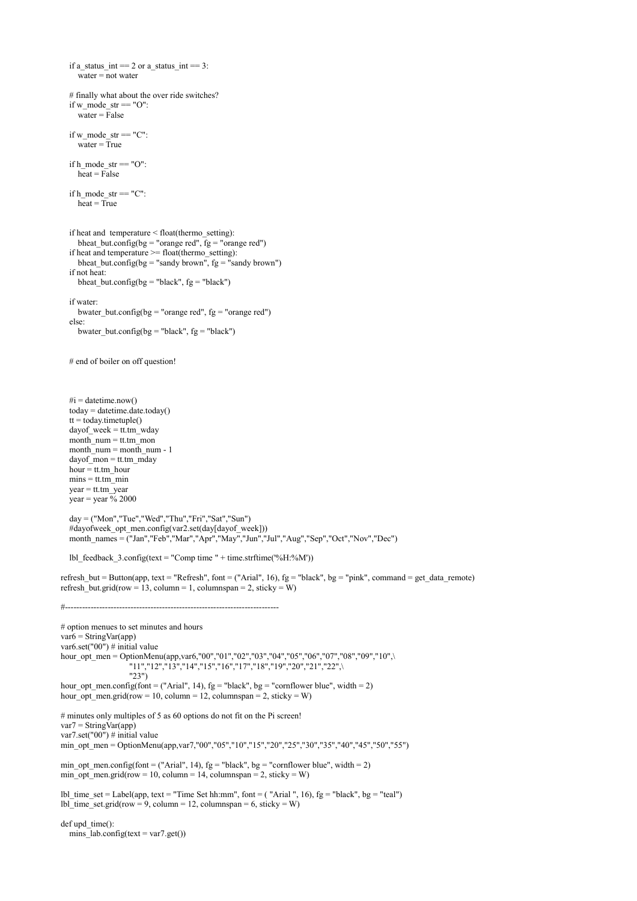if a\_status\_int == 2 or a\_status\_int == 3:  $\bar{w}$  water = not water # finally what about the over ride switches? if w\_mode\_str ==  $"O"$ :  $\bar{w}$ ater = False if  $w$ \_mode\_str == " $C$ ": water  $=$  True if  $h$  mode str  $= "O"$ :  $heat = False$ if h\_mode\_str  $= "C"$ :  $heat = True$  if heat and temperature < float(thermo\_setting): bheat but.config(bg = "orange red",  $fg$  = "orange red") if heat and temperature  $\geq$ = float(thermo\_setting): bheat\_but.config(bg = "sandy brown", fg = "sandy brown") if not heat: bheat but.config(bg = "black",  $fg$  = "black") if water: bwater but.config(bg = "orange red", fg = "orange red") else: bwater\_but.config(bg = "black",  $fg$  = "black") # end of boiler on off question!  $\#$ i = datetime.now()  $today = datetime.dataet, today()$  $tt = today.timetuple()$ dayof week = tt.tm wday month  $num = tt,tm$  mon month  $\overline{n}$  num = month num - 1  $dayof$  mon = tt.tm\_mday hour  $=$  tt.tm\_hour  $mins = tt,tm\_min$  $year = tt$ .tm  $year$ year = year  $\frac{6}{9}$  2000  $day = ("Mon", "Tue", "Wed", "Thu", "Fri", "Sat", "Sun")$ #dayofweek\_opt\_men.config(var2.set(day[dayof\_week])) month\_names = ("Jan","Feb","Mar","Apr","May","Jun","Jul","Aug","Sep","Oct","Nov","Dec") lbl\_feedback\_3.config(text = "Comp time " + time.strftime( $\degree$ %H: $\degree$ %M')) refresh\_but = Button(app, text = "Refresh", font = ("Arial", 16),  $fg$  = "black",  $bg$  = "pink", command = get\_data\_remote) refresh\_but.grid(row = 13, column = 1, columnspan = 2, sticky = W) #--------------------------------------------------------------------------- # option menues to set minutes and hours  $var6 = StringVar(ap)$ var6.set("00") # initial value hour\_opt\_men = OptionMenu(app,var6,"00","01","02","03","04","05","06","07","08","09","10",\ "11","12","13","14","15","16","17","18","19","20","21","22",\ "23") hour\_opt\_men.config(font = ("Arial", 14),  $fg =$  "black",  $bg =$  "cornflower blue", width = 2) hour opt men.grid(row = 10, column = 12, columnspan = 2, sticky = W) # minutes only multiples of 5 as 60 options do not fit on the Pi screen!  $var7 = StringVar(app)$ var7.set("00") # initial value min\_opt\_men = OptionMenu(app,var7,"00","05","10","15","20","25","30","35","40","45","50","55") min\_opt\_men.config(font = ("Arial", 14),  $fg =$  "black", bg = "cornflower blue", width = 2) min\_opt\_men.grid(row = 10, column = 14, columnspan = 2, sticky = W) lbl\_time\_set = Label(app, text = "Time Set hh:mm", font = ( "Arial ", 16), fg = "black", bg = "teal") lbl\_time\_set.grid(row = 9, column = 12, columnspan = 6, sticky = W)  $def$ upd  $time()$ : mins\_lab.config(text =  $var7.get()$ )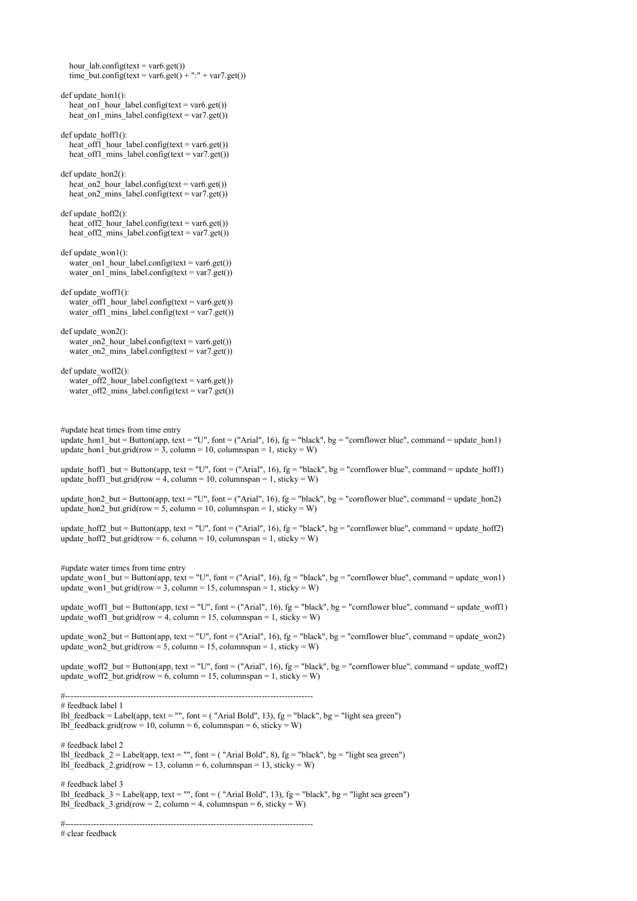hour\_lab.config(text = var6.get()) time\_but.config(text = var6.get() + ":" + var7.get()) def update  $hon1()$ : heat on<sup>1</sup> hour label.config(text = var6.get()) heat on  $\overline{1}$  mins label.config(text = var7.get()) def update\_hoff1(): heat off1 hour label.config(text = var6.get()) heat off1 mins label.config(text = var7.get()) def update\_hon2(): heat on<sup>2</sup> hour label.config(text = var6.get()) heat on2<sup>-</sup>mins<sup>-</sup>label.config(text = var7.get()) def update  $hoff2()$ : heat\_off2\_hour\_label.config(text = var6.get()) heat\_off2\_mins\_label.config(text = var7.get())  $def$  update\_won1(): water\_on1\_hour\_label.config(text = var6.get()) water\_on1\_mins\_label.config(text = var7.get()) def update\_woff1(): water\_off1\_hour\_label.config(text = var6.get()) water\_off1\_mins\_label.config(text = var7.get()) def update\_won2(): water\_on2\_hour\_label.config(text = var6.get()) water\_on2\_mins\_label.config(text = var7.get()) def update\_woff2(): water\_off2\_hour\_label.config(text = var6.get()) water\_off2\_mins\_label.config(text = var7.get()) #update heat times from time entry update\_hon1\_but = Button(app, text = "U", font = ("Arial", 16), fg = "black", bg = "cornflower blue", command = update\_hon1) update\_hon1\_but.grid(row = 3, column = 10, columnspan = 1, sticky = W) update\_hoff1\_but = Button(app, text = "U", font = ("Arial", 16), fg = "black", bg = "cornflower blue", command = update\_hoff1) update\_hoff1\_but.grid(row = 4, column = 10, columnspan = 1, sticky = W) update\_hon2\_but = Button(app, text = "U", font = ("Arial", 16),  $fg$  = "black", bg = "cornflower blue", command = update\_hon2) update\_hon2\_but.grid(row = 5, column = 10, columnspan = 1, sticky = W) update hoff2 but = Button(app, text = "U", font = ("Arial", 16), fg = "black", bg = "cornflower blue", command = update hoff2) update\_hoff2\_but.grid(row = 6, column = 10, columnspan = 1, sticky = W) #update water times from time entry update\_won1\_but = Button(app, text = "U", font = ("Arial", 16), fg = "black", bg = "cornflower blue", command = update\_won1) update\_won1\_but.grid(row = 3, column = 15, columnspan = 1, sticky = W) update\_woff1\_but = Button(app, text = "U", font = ("Arial", 16),  $fg =$  "black",  $bg =$  "cornflower blue", command = update\_woff1) update woff1 but.grid(row = 4, column = 15, columnspan = 1, sticky = W) update won2 but = Button(app, text = "U", font = ("Arial", 16), fg = "black", bg = "cornflower blue", command = update won2) update\_won2\_but.grid(row = 5, column = 15, columnspan = 1, sticky = W) update woff2 but = Button(app, text = "U", font = ("Arial", 16), fg = "black", bg = "cornflower blue", command = update woff2) update\_woff2\_but.grid(row = 6, column = 15, columnspan = 1, sticky = W) #--------------------------------------------------------------------------------------- # feedback label 1 lbl feedback = Label(app, text = "", font = ( "Arial Bold", 13), fg = "black", bg = "light sea green") lbl\_feedback.grid(row = 10, column = 6, columnspan = 6, sticky = W) # feedback label 2 lbl\_feedback\_2 = Label(app, text = "", font = ( "Arial Bold", 8), fg = "black", bg = "light sea green") lbl\_feedback\_2.grid(row = 13, column = 6, columnspan = 13, sticky = W) # feedback label 3 lbl\_feedback\_3 = Label(app, text = "", font = ( "Arial Bold", 13), fg = "black", bg = "light sea green") lbl\_feedback\_3.grid(row = 2, column = 4, columnspan = 6, sticky = W) #--------------------------------------------------------------------------------------- # clear feedback